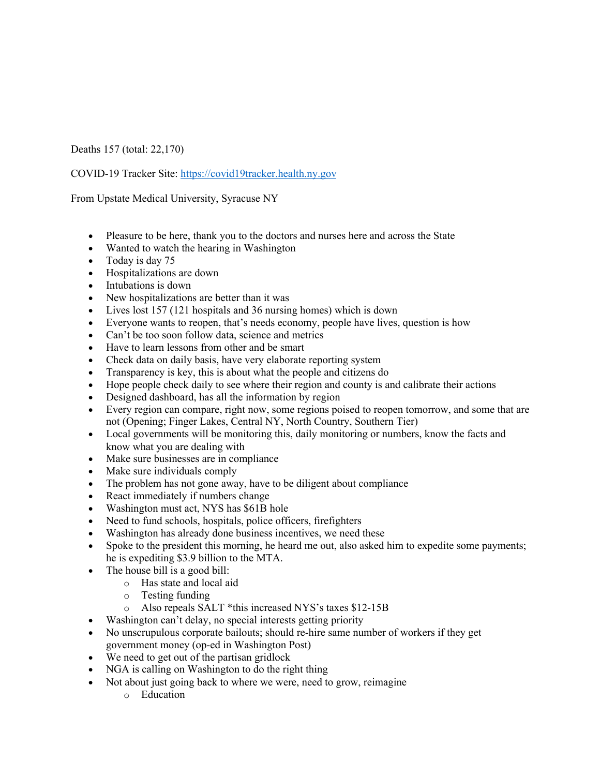Deaths 157 (total: 22,170)

COVID-19 Tracker Site: https://covid19tracker.health.ny.gov

From Upstate Medical University, Syracuse NY

- Pleasure to be here, thank you to the doctors and nurses here and across the State
- Wanted to watch the hearing in Washington
- Today is day 75
- Hospitalizations are down
- Intubations is down
- New hospitalizations are better than it was
- Lives lost 157 (121 hospitals and 36 nursing homes) which is down
- Everyone wants to reopen, that's needs economy, people have lives, question is how
- Can't be too soon follow data, science and metrics
- Have to learn lessons from other and be smart
- Check data on daily basis, have very elaborate reporting system
- Transparency is key, this is about what the people and citizens do
- Hope people check daily to see where their region and county is and calibrate their actions
- Designed dashboard, has all the information by region
- Every region can compare, right now, some regions poised to reopen tomorrow, and some that are not (Opening; Finger Lakes, Central NY, North Country, Southern Tier)
- Local governments will be monitoring this, daily monitoring or numbers, know the facts and know what you are dealing with
- Make sure businesses are in compliance
- Make sure individuals comply
- The problem has not gone away, have to be diligent about compliance
- React immediately if numbers change
- Washington must act, NYS has \$61B hole
- Need to fund schools, hospitals, police officers, firefighters
- Washington has already done business incentives, we need these
- Spoke to the president this morning, he heard me out, also asked him to expedite some payments; he is expediting \$3.9 billion to the MTA.
- The house bill is a good bill:
	- o Has state and local aid
	- o Testing funding
	- o Also repeals SALT \*this increased NYS's taxes \$12-15B
- Washington can't delay, no special interests getting priority
- No unscrupulous corporate bailouts; should re-hire same number of workers if they get government money (op-ed in Washington Post)
- We need to get out of the partisan gridlock
- NGA is calling on Washington to do the right thing
- Not about just going back to where we were, need to grow, reimagine
	- o Education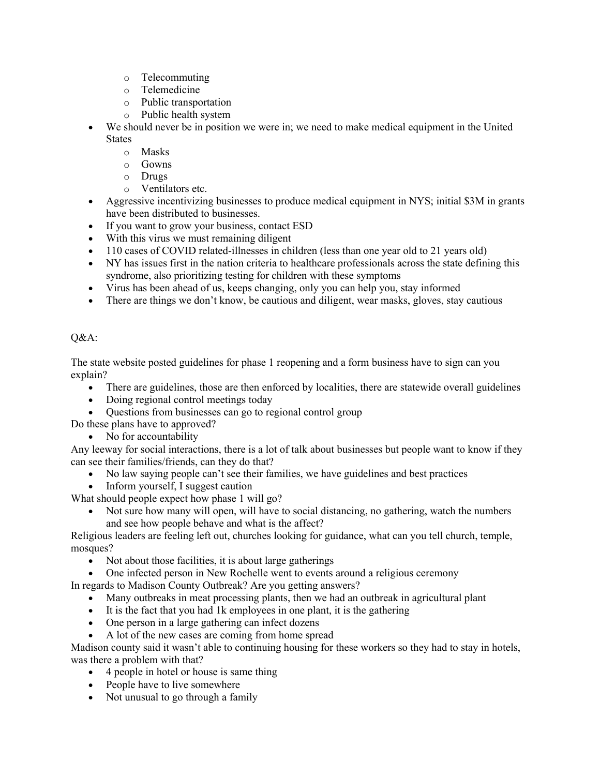- o Telecommuting
- o Telemedicine
- o Public transportation
- o Public health system
- We should never be in position we were in; we need to make medical equipment in the United **States** 
	- o Masks
	- o Gowns
	- o Drugs
	- o Ventilators etc.
- Aggressive incentivizing businesses to produce medical equipment in NYS; initial \$3M in grants have been distributed to businesses.
- If you want to grow your business, contact ESD
- With this virus we must remaining diligent
- 110 cases of COVID related-illnesses in children (less than one year old to 21 years old)
- NY has issues first in the nation criteria to healthcare professionals across the state defining this syndrome, also prioritizing testing for children with these symptoms
- Virus has been ahead of us, keeps changing, only you can help you, stay informed
- There are things we don't know, be cautious and diligent, wear masks, gloves, stay cautious

## Q&A:

The state website posted guidelines for phase 1 reopening and a form business have to sign can you explain?

- There are guidelines, those are then enforced by localities, there are statewide overall guidelines
- Doing regional control meetings today
- Ouestions from businesses can go to regional control group

Do these plans have to approved?

• No for accountability

Any leeway for social interactions, there is a lot of talk about businesses but people want to know if they can see their families/friends, can they do that?

- No law saying people can't see their families, we have guidelines and best practices
- Inform yourself, I suggest caution

What should people expect how phase 1 will go?

• Not sure how many will open, will have to social distancing, no gathering, watch the numbers and see how people behave and what is the affect?

Religious leaders are feeling left out, churches looking for guidance, what can you tell church, temple, mosques?

- Not about those facilities, it is about large gatherings
- One infected person in New Rochelle went to events around a religious ceremony

In regards to Madison County Outbreak? Are you getting answers?

- Many outbreaks in meat processing plants, then we had an outbreak in agricultural plant
- It is the fact that you had 1k employees in one plant, it is the gathering
- One person in a large gathering can infect dozens
- A lot of the new cases are coming from home spread

Madison county said it wasn't able to continuing housing for these workers so they had to stay in hotels, was there a problem with that?

- 4 people in hotel or house is same thing
- People have to live somewhere
- Not unusual to go through a family